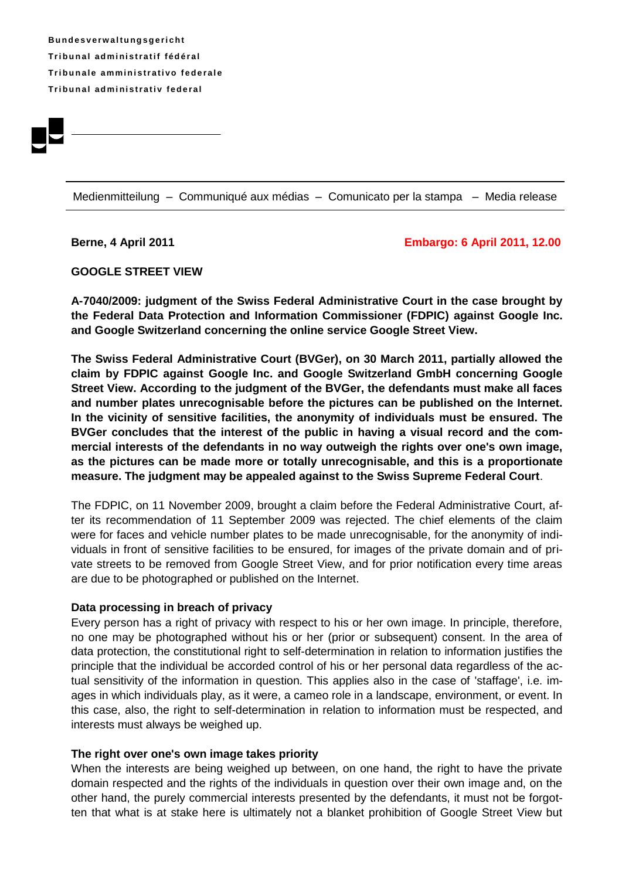**B u n d e s v e rw a l t u ng s g e r i ch t Tr i b u n a l ad m i ni s t r a t i f f éd é r a l Tribunale amministrativo federale Tr i b u n a l ad m i ni s t r a t i v fe d e r a l**



Medienmitteilung – Communiqué aux médias – Comunicato per la stampa – Media release

### **Berne, 4 April 2011 Embargo: 6 April 2011, 12.00**

## **GOOGLE STREET VIEW**

**A-7040/2009: judgment of the Swiss Federal Administrative Court in the case brought by the Federal Data Protection and Information Commissioner (FDPIC) against Google Inc. and Google Switzerland concerning the online service Google Street View.**

**The Swiss Federal Administrative Court (BVGer), on 30 March 2011, partially allowed the claim by FDPIC against Google Inc. and Google Switzerland GmbH concerning Google Street View. According to the judgment of the BVGer, the defendants must make all faces and number plates unrecognisable before the pictures can be published on the Internet. In the vicinity of sensitive facilities, the anonymity of individuals must be ensured. The BVGer concludes that the interest of the public in having a visual record and the commercial interests of the defendants in no way outweigh the rights over one's own image, as the pictures can be made more or totally unrecognisable, and this is a proportionate measure. The judgment may be appealed against to the Swiss Supreme Federal Court**.

The FDPIC, on 11 November 2009, brought a claim before the Federal Administrative Court, after its recommendation of 11 September 2009 was rejected. The chief elements of the claim were for faces and vehicle number plates to be made unrecognisable, for the anonymity of individuals in front of sensitive facilities to be ensured, for images of the private domain and of private streets to be removed from Google Street View, and for prior notification every time areas are due to be photographed or published on the Internet.

## **Data processing in breach of privacy**

Every person has a right of privacy with respect to his or her own image. In principle, therefore, no one may be photographed without his or her (prior or subsequent) consent. In the area of data protection, the constitutional right to self-determination in relation to information justifies the principle that the individual be accorded control of his or her personal data regardless of the actual sensitivity of the information in question. This applies also in the case of 'staffage', i.e. images in which individuals play, as it were, a cameo role in a landscape, environment, or event. In this case, also, the right to self-determination in relation to information must be respected, and interests must always be weighed up.

## **The right over one's own image takes priority**

When the interests are being weighed up between, on one hand, the right to have the private domain respected and the rights of the individuals in question over their own image and, on the other hand, the purely commercial interests presented by the defendants, it must not be forgotten that what is at stake here is ultimately not a blanket prohibition of Google Street View but